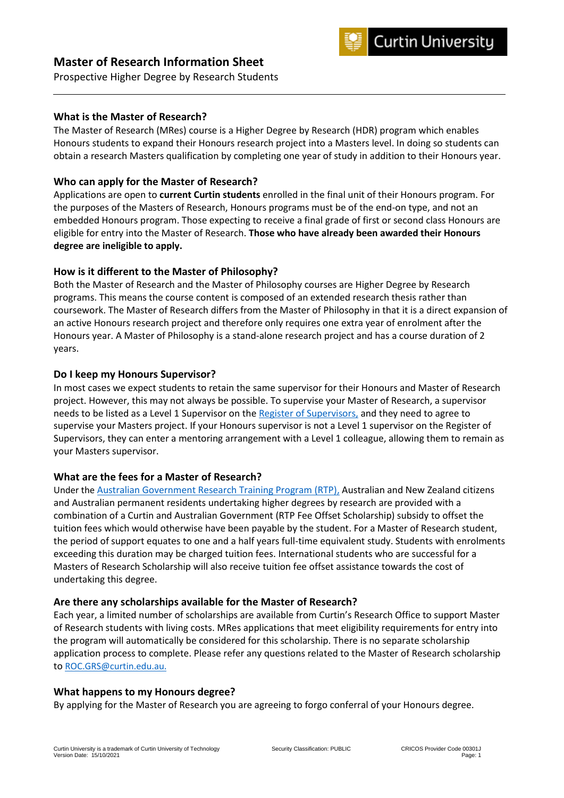



Prospective Higher Degree by Research Students

### **What is the Master of Research?**

The Master of Research (MRes) course is a Higher Degree by Research (HDR) program which enables Honours students to expand their Honours research project into a Masters level. In doing so students can obtain a research Masters qualification by completing one year of study in addition to their Honours year.

## **Who can apply for the Master of Research?**

Applications are open to **current Curtin students** enrolled in the final unit of their Honours program. For the purposes of the Masters of Research, Honours programs must be of the end-on type, and not an embedded Honours program. Those expecting to receive a final grade of first or second class Honours are eligible for entry into the Master of Research. **Those who have already been awarded their Honours degree are ineligible to apply.**

## **How is it different to the Master of Philosophy?**

Both the Master of Research and the Master of Philosophy courses are Higher Degree by Research programs. This means the course content is composed of an extended research thesis rather than coursework. The Master of Research differs from the Master of Philosophy in that it is a direct expansion of an active Honours research project and therefore only requires one extra year of enrolment after the Honours year. A Master of Philosophy is a stand-alone research project and has a course duration of 2 years.

### **Do I keep my Honours Supervisor?**

In most cases we expect students to retain the same supervisor for their Honours and Master of Research project. However, this may not always be possible. To supervise your Master of Research, a supervisor needs to be listed as a Level 1 Supervisor on the [Register of Supervisors,](https://research.curtin.edu.au/our-researchers/?query=&type=supervisors) and they need to agree to supervise your Masters project. If your Honours supervisor is not a Level 1 supervisor on the Register of Supervisors, they can enter a mentoring arrangement with a Level 1 colleague, allowing them to remain as your Masters supervisor.

## **What are the fees for a Master of Research?**

Under the [Australian Government Research Training Program \(RTP\),](https://www.education.gov.au/research-training-program) Australian and New Zealand citizens and Australian permanent residents undertaking higher degrees by research are provided with a combination of a Curtin and Australian Government (RTP Fee Offset Scholarship) subsidy to offset the tuition fees which would otherwise have been payable by the student. For a Master of Research student, the period of support equates to one and a half years full-time equivalent study. Students with enrolments exceeding this duration may be charged tuition fees. International students who are successful for a Masters of Research Scholarship will also receive tuition fee offset assistance towards the cost of undertaking this degree.

#### **Are there any scholarships available for the Master of Research?**

Each year, a limited number of scholarships are available from Curtin's Research Office to support Master of Research students with living costs. MRes applications that meet eligibility requirements for entry into the program will automatically be considered for this scholarship. There is no separate scholarship application process to complete. Please refer any questions related to the Master of Research scholarship to [ROC.GRS@curtin.edu.au.](mailto:ROC.GRS@curtin.edu.au)

#### **What happens to my Honours degree?**

By applying for the Master of Research you are agreeing to forgo conferral of your Honours degree.